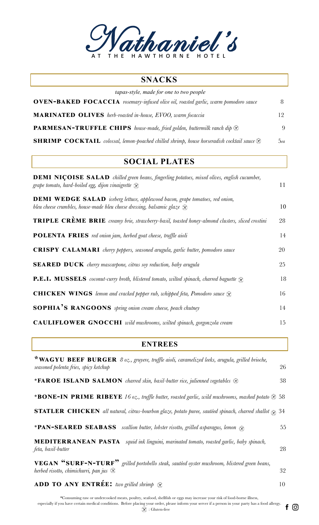

# **SNACKS**

| tapas-style, made for one to two people                                                                   |        |
|-----------------------------------------------------------------------------------------------------------|--------|
| <b>OVEN-BAKED FOCACCIA</b> rosemary-infused olive oil, roasted garlic, warm pomodoro sauce                |        |
| <b>MARINATED OLIVES</b> herb-roasted in-house, EVOO, warm focaccia                                        | 12.    |
| <b>PARMESAN-TRUFFLE CHIPS</b> house-made, fried golden, buttermilk ranch dip $\otimes$                    |        |
| <b>SHRIMP COCKTAIL</b> colossal, lemon-poached chilled shrimp, house horseradish cocktail sauce $\otimes$ | $5$ ea |

# **SOCIAL PLATES**

| <b>DEMI NICOISE SALAD</b> chilled green beans, fingerling potatoes, mixed olives, english cucumber,<br>grape tomato, hard-boiled egg, dijon vinaigrette $\otimes$       | 11 |
|-------------------------------------------------------------------------------------------------------------------------------------------------------------------------|----|
| <b>DEMI WEDGE SALAD</b> iceberg lettuce, applewood bacon, grape tomatoes, red onion,<br>bleu cheese crumbles, house-made bleu cheese dressing, balsamic glaze $\otimes$ | 10 |
| <b>TRIPLE CRÈME BRIE</b> creamy brie, strawberry-basil, toasted honey-almond clusters, sliced crostini                                                                  | 28 |
| <b>POLENTA FRIES</b> red onion jam, herbed goat cheese, truffle aioli                                                                                                   | 14 |
| <b>CRISPY CALAMARI</b> cherry peppers, seasoned arugula, garlic butter, pomodoro sauce                                                                                  | 20 |
| <b>SEARED DUCK</b> cherry mascarpone, citrus soy reduction, baby arugula                                                                                                | 25 |
| <b>P.E.I. MUSSELS</b> coconut-curry broth, blistered tomato, wilted spinach, charred baguette $\otimes$                                                                 | 18 |
| <b>CHICKEN WINGS</b> lemon and cracked pepper rub, whipped feta, Pomodoro sauce $\otimes$                                                                               | 16 |
| <b>SOPHIA'S RANGOONS</b> spring onion cream cheese, peach chutney                                                                                                       | 14 |
| <b>CAULIFLOWER GNOCCHI</b> wild mushrooms, wilted spinach, gorgonzola cream                                                                                             | 15 |

## **ENTREES**

| *WAGYU BEEF BURGER 8 oz., gruyere, truffle aioli, caramelized leeks, arugula, grilled brioche,<br>seasoned polenta fries, spicy ketchup         | 26 |
|-------------------------------------------------------------------------------------------------------------------------------------------------|----|
| *FAROE ISLAND SALMON charred skin, basil-butter rice, julienned vegetables $\otimes$                                                            | 38 |
| <b>*BONE-IN PRIME RIBEYE</b> 16 oz., truffle butter, roasted garlic, wild mushrooms, mashed potato $\otimes$ 58                                 |    |
| <b>STATLER CHICKEN</b> all natural, citrus-bourbon glaze, potato puree, sautéed spinach, charred shallot $\otimes$ 34                           |    |
| <b>*PAN-SEARED SEABASS</b> scallion butter, lobster risotto, grilled asparagus, lemon $\otimes$                                                 | 55 |
| <b>MEDITERRANEAN PASTA</b> squid ink linguini, marinated tomato, roasted garlic, baby spinach,<br>feta, basil-butter                            | 28 |
| VEGAN "SURF-N-TURF" grilled portobello steak, sautéed oyster mushroom, blistered green beans,<br>herbed risotto, chimichurri, pan jus $\otimes$ | 32 |
|                                                                                                                                                 |    |

**ADD TO ANY ENTRÉE:** *two grilled shrimp*  $\otimes$  10

\*Consuming raw or undercooked meats, poultry, seafood, shellfish or eggs may increase your risk of food-borne illness, Expecially if you have certain medical conditions. Before placing your order, please inform your server if a person in your party has a food allergy.  $\widetilde{\otimes}$ : Gluten-free